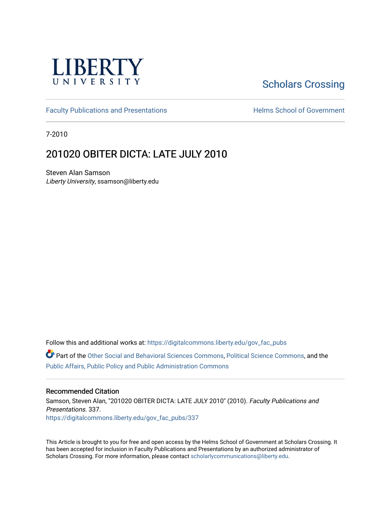

# [Scholars Crossing](https://digitalcommons.liberty.edu/)

[Faculty Publications and Presentations](https://digitalcommons.liberty.edu/gov_fac_pubs) **Exercise School of Government** 

7-2010

## 201020 OBITER DICTA: LATE JULY 2010

Steven Alan Samson Liberty University, ssamson@liberty.edu

Follow this and additional works at: [https://digitalcommons.liberty.edu/gov\\_fac\\_pubs](https://digitalcommons.liberty.edu/gov_fac_pubs?utm_source=digitalcommons.liberty.edu%2Fgov_fac_pubs%2F337&utm_medium=PDF&utm_campaign=PDFCoverPages)

Part of the [Other Social and Behavioral Sciences Commons](http://network.bepress.com/hgg/discipline/437?utm_source=digitalcommons.liberty.edu%2Fgov_fac_pubs%2F337&utm_medium=PDF&utm_campaign=PDFCoverPages), [Political Science Commons](http://network.bepress.com/hgg/discipline/386?utm_source=digitalcommons.liberty.edu%2Fgov_fac_pubs%2F337&utm_medium=PDF&utm_campaign=PDFCoverPages), and the [Public Affairs, Public Policy and Public Administration Commons](http://network.bepress.com/hgg/discipline/393?utm_source=digitalcommons.liberty.edu%2Fgov_fac_pubs%2F337&utm_medium=PDF&utm_campaign=PDFCoverPages)

#### Recommended Citation

Samson, Steven Alan, "201020 OBITER DICTA: LATE JULY 2010" (2010). Faculty Publications and Presentations. 337. [https://digitalcommons.liberty.edu/gov\\_fac\\_pubs/337](https://digitalcommons.liberty.edu/gov_fac_pubs/337?utm_source=digitalcommons.liberty.edu%2Fgov_fac_pubs%2F337&utm_medium=PDF&utm_campaign=PDFCoverPages)

This Article is brought to you for free and open access by the Helms School of Government at Scholars Crossing. It has been accepted for inclusion in Faculty Publications and Presentations by an authorized administrator of Scholars Crossing. For more information, please contact [scholarlycommunications@liberty.edu.](mailto:scholarlycommunications@liberty.edu)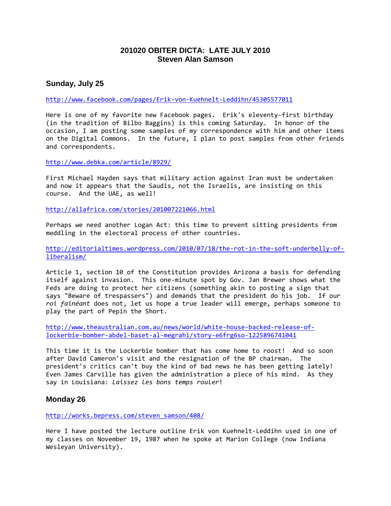### **201020 OBITER DICTA: LATE JULY 2010 Steven Alan Samson**

#### **Sunday, July 25**

#### <http://www.facebook.com/pages/Erik-von-Kuehnelt-Leddihn/45305577011>

Here is one of my favorite new Facebook pages. Erik's eleventy-first birthday (in the tradition of Bilbo Baggins) is this coming Saturday. In honor of the occasion, I am posting some samples of my correspondence with him and other items on the Digital Commons. In the future, I plan to post samples from other friends and correspondents.

<http://www.debka.com/article/8929/>

First Michael Hayden says that military action against Iran must be undertaken and now it appears that the Saudis, not the Israelis, are insisting on this course. And the UAE, as well!

<http://allafrica.com/stories/201007221066.html>

Perhaps we need another Logan Act: this time to prevent sitting presidents from meddling in the electoral process of other countries.

[http://editorialtimes.wordpress.com/2010/07/18/the-rot-in-the-soft-underbelly-of](http://editorialtimes.wordpress.com/2010/07/18/the-rot-in-the-soft-underbelly-of-liberalism/)[liberalism/](http://editorialtimes.wordpress.com/2010/07/18/the-rot-in-the-soft-underbelly-of-liberalism/)

Article 1, section 10 of the Constitution provides Arizona a basis for defending itself against invasion. This one-minute spot by Gov. Jan Brewer shows what the Feds are doing to protect her citizens (something akin to posting a sign that says "Beware of trespassers") and demands that the president do his job. If our *roi fainéant* does not, let us hope a true leader will emerge, perhaps someone to play the part of Pepin the Short.

[http://www.theaustralian.com.au/news/world/white-house-backed-release-of](http://www.theaustralian.com.au/news/world/white-house-backed-release-of-lockerbie-bomber-abdel-baset-al-megrahi/story-e6frg6so-1225896741041)[lockerbie-bomber-abdel-baset-al-megrahi/story-e6frg6so-1225896741041](http://www.theaustralian.com.au/news/world/white-house-backed-release-of-lockerbie-bomber-abdel-baset-al-megrahi/story-e6frg6so-1225896741041)

This time it is the Lockerbie bomber that has come home to roost! And so soon after David Cameron's visit and the resignation of the BP chairman. The president's critics can't buy the kind of bad news he has been getting lately! Even James Carville has given the administration a piece of his mind. As they say in Louisiana: *Laissez les bons temps rouler*!

#### **Monday 26**

[http://works.bepress.com/steven\\_samson/408/](http://works.bepress.com/steven_samson/408/)

Here I have posted the lecture outline Erik von Kuehnelt-Leddihn used in one of my classes on November 19, 1987 when he spoke at Marion College (now Indiana Wesleyan University).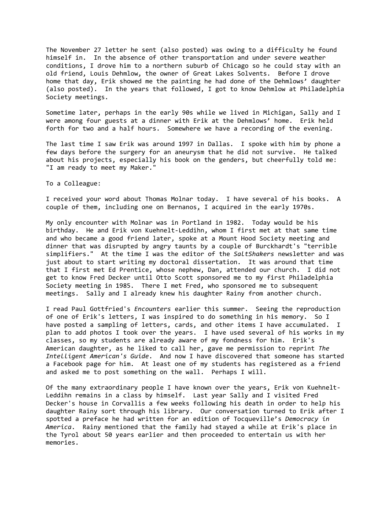The November 27 letter he sent (also posted) was owing to a difficulty he found himself in. In the absence of other transportation and under severe weather conditions, I drove him to a northern suburb of Chicago so he could stay with an old friend, Louis Dehmlow, the owner of Great Lakes Solvents. Before I drove home that day, Erik showed me the painting he had done of the Dehmlows' daughter (also posted). In the years that followed, I got to know Dehmlow at Philadelphia Society meetings.

Sometime later, perhaps in the early 90s while we lived in Michigan, Sally and I were among four guests at a dinner with Erik at the Dehmlows' home. Erik held forth for two and a half hours. Somewhere we have a recording of the evening.

The last time I saw Erik was around 1997 in Dallas. I spoke with him by phone a few days before the surgery for an aneurysm that he did not survive. He talked about his projects, especially his book on the genders, but cheerfully told me: "I am ready to meet my Maker."

To a Colleague:

I received your word about Thomas Molnar today. I have several of his books. A couple of them, including one on Bernanos, I acquired in the early 1970s.

My only encounter with Molnar was in Portland in 1982. Today would be his birthday. He and Erik von Kuehnelt-Leddihn, whom I first met at that same time and who became a good friend later, spoke at a Mount Hood Society meeting and dinner that was disrupted by angry taunts by a couple of Burckhardt's "terrible simplifiers." At the time I was the editor of the *SaltShakers* newsletter and was just about to start writing my doctoral dissertation. It was around that time that I first met Ed Prentice, whose nephew, Dan, attended our church. I did not get to know Fred Decker until Otto Scott sponsored me to my first Philadelphia Society meeting in 1985. There I met Fred, who sponsored me to subsequent meetings. Sally and I already knew his daughter Rainy from another church.

I read Paul Gottfried's *Encounters* earlier this summer. Seeing the reproduction of one of Erik's letters, I was inspired to do something in his memory. So I have posted a sampling of letters, cards, and other items I have accumulated. I plan to add photos I took over the years. I have used several of his works in my classes, so my students are already aware of my fondness for him. Erik's American daughter, as he liked to call her, gave me permission to reprint *The Intelligent American's Guide*. And now I have discovered that someone has started a Facebook page for him. At least one of my students has registered as a friend and asked me to post something on the wall. Perhaps I will.

Of the many extraordinary people I have known over the years, Erik von Kuehnelt-Leddihn remains in a class by himself. Last year Sally and I visited Fred Decker's house in Corvallis a few weeks following his death in order to help his daughter Rainy sort through his library. Our conversation turned to Erik after I spotted a preface he had written for an edition of Tocqueville's *Democracy in America*. Rainy mentioned that the family had stayed a while at Erik's place in the Tyrol about 50 years earlier and then proceeded to entertain us with her memories.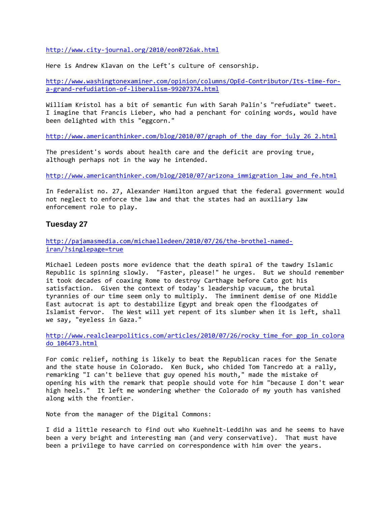<http://www.city-journal.org/2010/eon0726ak.html>

Here is Andrew Klavan on the Left's culture of censorship.

[http://www.washingtonexaminer.com/opinion/columns/OpEd-Contributor/Its-time-for](http://www.washingtonexaminer.com/opinion/columns/OpEd-Contributor/Its-time-for-a-grand-refudiation-of-liberalism-99207374.html)[a-grand-refudiation-of-liberalism-99207374.html](http://www.washingtonexaminer.com/opinion/columns/OpEd-Contributor/Its-time-for-a-grand-refudiation-of-liberalism-99207374.html)

William Kristol has a bit of semantic fun with Sarah Palin's "refudiate" tweet. I imagine that Francis Lieber, who had a penchant for coining words, would have been delighted with this "eggcorn."

[http://www.americanthinker.com/blog/2010/07/graph\\_of\\_the\\_day\\_for\\_july\\_26\\_2.html](http://www.americanthinker.com/blog/2010/07/graph_of_the_day_for_july_26_2.html)

The president's words about health care and the deficit are proving true, although perhaps not in the way he intended.

[http://www.americanthinker.com/blog/2010/07/arizona\\_immigration\\_law\\_and\\_fe.html](http://www.americanthinker.com/blog/2010/07/arizona_immigration_law_and_fe.html)

In Federalist no. 27, Alexander Hamilton argued that the federal government would not neglect to enforce the law and that the states had an auxiliary law enforcement role to play.

#### **Tuesday 27**

[http://pajamasmedia.com/michaelledeen/2010/07/26/the-brothel-named](http://pajamasmedia.com/michaelledeen/2010/07/26/the-brothel-named-iran/?singlepage=true)[iran/?singlepage=true](http://pajamasmedia.com/michaelledeen/2010/07/26/the-brothel-named-iran/?singlepage=true)

Michael Ledeen posts more evidence that the death spiral of the tawdry Islamic Republic is spinning slowly. "Faster, please!" he urges. But we should remember it took decades of coaxing Rome to destroy Carthage before Cato got his satisfaction. Given the context of today's leadership vacuum, the brutal tyrannies of our time seem only to multiply. The imminent demise of one Middle East autocrat is apt to destabilize Egypt and break open the floodgates of Islamist fervor. The West will yet repent of its slumber when it is left, shall we say, "eyeless in Gaza."

[http://www.realclearpolitics.com/articles/2010/07/26/rocky\\_time\\_for\\_gop\\_in\\_colora](http://www.realclearpolitics.com/articles/2010/07/26/rocky_time_for_gop_in_colorado_106473.html) [do\\_106473.html](http://www.realclearpolitics.com/articles/2010/07/26/rocky_time_for_gop_in_colorado_106473.html)

For comic relief, nothing is likely to beat the Republican races for the Senate and the state house in Colorado. Ken Buck, who chided Tom Tancredo at a rally, remarking "I can't believe that guy opened his mouth," made the mistake of opening his with the remark that people should vote for him "because I don't wear high heels." It left me wondering whether the Colorado of my youth has vanished along with the frontier.

Note from the manager of the Digital Commons:

I did a little research to find out who Kuehnelt-Leddihn was and he seems to have been a very bright and interesting man (and very conservative). That must have been a privilege to have carried on correspondence with him over the years.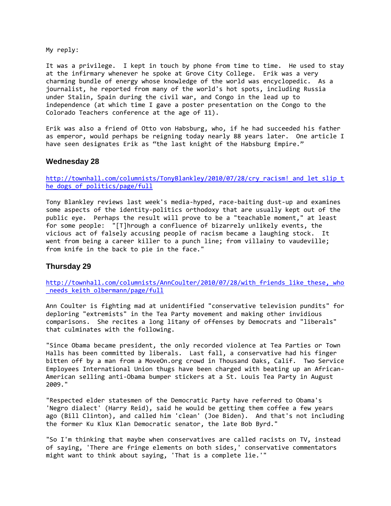My reply:

It was a privilege. I kept in touch by phone from time to time. He used to stay at the infirmary whenever he spoke at Grove City College. Erik was a very charming bundle of energy whose knowledge of the world was encyclopedic. As a journalist, he reported from many of the world's hot spots, including Russia under Stalin, Spain during the civil war, and Congo in the lead up to independence (at which time I gave a poster presentation on the Congo to the Colorado Teachers conference at the age of 11).

Erik was also a friend of Otto von Habsburg, who, if he had succeeded his father as emperor, would perhaps be reigning today nearly 88 years later. One article I have seen designates Erik as "the last knight of the Habsburg Empire."

#### **Wednesday 28**

http://townhall.com/columnists/TonyBlankley/2010/07/28/cry\_racism! and let slip\_t [he\\_dogs\\_of\\_politics/page/full](http://townhall.com/columnists/TonyBlankley/2010/07/28/cry_racism!_and_let_slip_the_dogs_of_politics/page/full)

Tony Blankley reviews last week's media-hyped, race-baiting dust-up and examines some aspects of the identity-politics orthodoxy that are usually kept out of the public eye. Perhaps the result will prove to be a "teachable moment," at least for some people: "[T]hrough a confluence of bizarrely unlikely events, the vicious act of falsely accusing people of racism became a laughing stock. It went from being a career killer to a punch line; from villainy to vaudeville; from knife in the back to pie in the face."

#### **Thursday 29**

[http://townhall.com/columnists/AnnCoulter/2010/07/28/with\\_friends\\_like\\_these,\\_who](http://townhall.com/columnists/AnnCoulter/2010/07/28/with_friends_like_these,_who_needs_keith_olbermann/page/full) needs keith olbermann/page/full

Ann Coulter is fighting mad at unidentified "conservative television pundits" for deploring "extremists" in the Tea Party movement and making other invidious comparisons. She recites a long litany of offenses by Democrats and "liberals" that culminates with the following.

"Since Obama became president, the only recorded violence at Tea Parties or Town Halls has been committed by liberals. Last fall, a conservative had his finger bitten off by a man from a MoveOn.org crowd in Thousand Oaks, Calif. Two Service Employees International Union thugs have been charged with beating up an African-American selling anti-Obama bumper stickers at a St. Louis Tea Party in August 2009."

"Respected elder statesmen of the Democratic Party have referred to Obama's 'Negro dialect' (Harry Reid), said he would be getting them coffee a few years ago (Bill Clinton), and called him 'clean' (Joe Biden). And that's not including the former Ku Klux Klan Democratic senator, the late Bob Byrd."

"So I'm thinking that maybe when conservatives are called racists on TV, instead of saying, 'There are fringe elements on both sides,' conservative commentators might want to think about saying, 'That is a complete lie.'"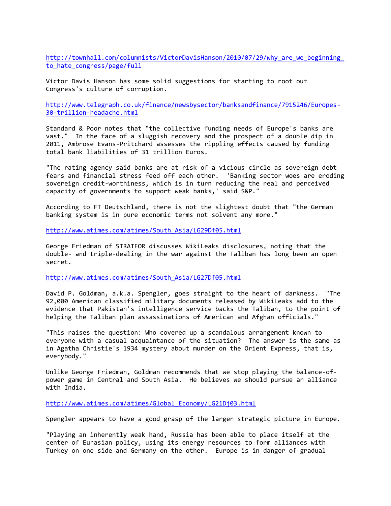http://townhall.com/columnists/VictorDavisHanson/2010/07/29/why\_are\_we\_beginning to hate congress/page/full

Victor Davis Hanson has some solid suggestions for starting to root out Congress's culture of corruption.

[http://www.telegraph.co.uk/finance/newsbysector/banksandfinance/7915246/Europes-](http://www.telegraph.co.uk/finance/newsbysector/banksandfinance/7915246/Europes-30-trillion-headache.html)[30-trillion-headache.html](http://www.telegraph.co.uk/finance/newsbysector/banksandfinance/7915246/Europes-30-trillion-headache.html)

Standard & Poor notes that "the collective funding needs of Europe's banks are vast." In the face of a sluggish recovery and the prospect of a double dip in 2011, Ambrose Evans-Pritchard assesses the rippling effects caused by funding total bank liabilities of 31 trillion Euros.

"The rating agency said banks are at risk of a vicious circle as sovereign debt fears and financial stress feed off each other. 'Banking sector woes are eroding sovereign credit-worthiness, which is in turn reducing the real and perceived capacity of governments to support weak banks,' said S&P."

According to FT Deutschland, there is not the slightest doubt that "the German banking system is in pure economic terms not solvent any more."

[http://www.atimes.com/atimes/South\\_Asia/LG29Df05.html](http://www.atimes.com/atimes/South_Asia/LG29Df05.html)

George Friedman of STRATFOR discusses WikiLeaks disclosures, noting that the double- and triple-dealing in the war against the Taliban has long been an open secret.

[http://www.atimes.com/atimes/South\\_Asia/LG27Df05.html](http://www.atimes.com/atimes/South_Asia/LG27Df05.html)

David P. Goldman, a.k.a. Spengler, goes straight to the heart of darkness. "The 92,000 American classified military documents released by WikiLeaks add to the evidence that Pakistan's intelligence service backs the Taliban, to the point of helping the Taliban plan assassinations of American and Afghan officials."

"This raises the question: Who covered up a scandalous arrangement known to everyone with a casual acquaintance of the situation? The answer is the same as in Agatha Christie's 1934 mystery about murder on the Orient Express, that is, everybody."

Unlike George Friedman, Goldman recommends that we stop playing the balance-ofpower game in Central and South Asia. He believes we should pursue an alliance with India.

[http://www.atimes.com/atimes/Global\\_Economy/LG21Dj03.html](http://www.atimes.com/atimes/Global_Economy/LG21Dj03.html)

Spengler appears to have a good grasp of the larger strategic picture in Europe.

"Playing an inherently weak hand, Russia has been able to place itself at the center of Eurasian policy, using its energy resources to form alliances with Turkey on one side and Germany on the other. Europe is in danger of gradual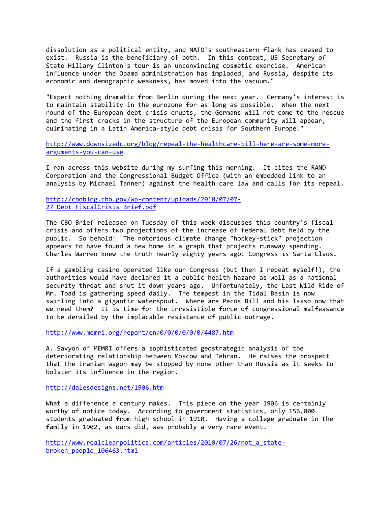dissolution as a political entity, and NATO's southeastern flank has ceased to exist. Russia is the beneficiary of both. In this context, US Secretary of State Hillary Clinton's tour is an unconvincing cosmetic exercise. American influence under the Obama administration has imploded, and Russia, despite its economic and demographic weakness, has moved into the vacuum."

"Expect nothing dramatic from Berlin during the next year. Germany's interest is to maintain stability in the eurozone for as long as possible. When the next round of the European debt crisis erupts, the Germans will not come to the rescue and the first cracks in the structure of the European community will appear, culminating in a Latin America-style debt crisis for Southern Europe."

[http://www.downsizedc.org/blog/repeal-the-healthcare-bill-here-are-some-more](http://www.downsizedc.org/blog/repeal-the-healthcare-bill-here-are-some-more-arguments-you-can-use)[arguments-you-can-use](http://www.downsizedc.org/blog/repeal-the-healthcare-bill-here-are-some-more-arguments-you-can-use)

I ran across this website during my surfing this morning. It cites the RAND Corporation and the Congressional Budget Office (with an embedded link to an analysis by Michael Tanner) against the health care law and calls for its repeal.

[http://cboblog.cbo.gov/wp-content/uploads/2010/07/07-](http://cboblog.cbo.gov/wp-content/uploads/2010/07/07-27_Debt_FiscalCrisis_Brief.pdf) 27 Debt FiscalCrisis Brief.pdf

The CBO Brief released on Tuesday of this week discusses this country's fiscal crisis and offers two projections of the increase of federal debt held by the public. So behold! The notorious climate change "hockey-stick" projection appears to have found a new home in a graph that projects runaway spending. Charles Warren knew the truth nearly eighty years ago: Congress *is* Santa Claus.

If a gambling casino operated like our Congress (but then I repeat myself!), the authorities would have declared it a public health hazard as well as a national security threat and shut it down years ago. Unfortunately, the Last Wild Ride of Mr. Toad is gathering speed daily. The tempest in the Tidal Basin is now swirling into a gigantic waterspout. Where are Pecos Bill and his lasso now that we need them? It is time for the irresistible force of congressional malfeasance to be derailed by the implacable resistance of public outrage.

<http://www.memri.org/report/en/0/0/0/0/0/0/4487.htm>

A. Savyon of MEMRI offers a sophisticated geostrategic analysis of the deteriorating relationship between Moscow and Tehran. He raises the prospect that the Iranian wagon may be stopped by none other than Russia as it seeks to bolster its influence in the region.

<http://dalesdesigns.net/1906.htm>

What a difference a century makes. This piece on the year 1906 is certainly worthy of notice today. According to government statistics, only 156,000 students graduated from high school in 1910. Having a college graduate in the family in 1902, as ours did, was probably a very rare event.

[http://www.realclearpolitics.com/articles/2010/07/26/not\\_a\\_state](http://www.realclearpolitics.com/articles/2010/07/26/not_a_state-broken_people_106463.html)[broken\\_people\\_106463.html](http://www.realclearpolitics.com/articles/2010/07/26/not_a_state-broken_people_106463.html)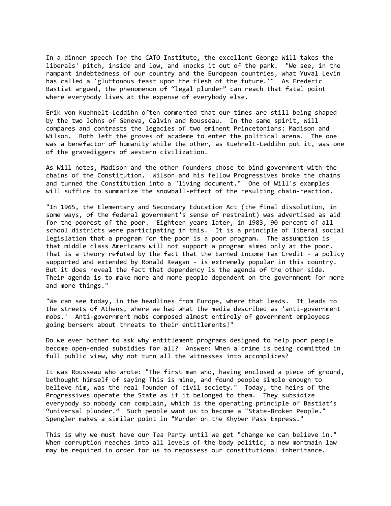In a dinner speech for the CATO Institute, the excellent George Will takes the liberals' pitch, inside and low, and knocks it out of the park. "We see, in the rampant indebtedness of our country and the European countries, what Yuval Levin has called a 'gluttonous feast upon the flesh of the future.'" As Frederic Bastiat argued, the phenomenon of "legal plunder" can reach that fatal point where everybody lives at the expense of everybody else.

Erik von Kuehnelt-Leddihn often commented that our times are still being shaped by the two Johns of Geneva, Calvin and Rousseau. In the same spirit, Will compares and contrasts the legacies of two eminent Princetonians: Madison and Wilson. Both left the groves of academe to enter the political arena. The one was a benefactor of humanity while the other, as Kuehnelt-Leddihn put it, was one of the gravediggers of western civilization.

As Will notes, Madison and the other founders chose to bind government with the chains of the Constitution. Wilson and his fellow Progressives broke the chains and turned the Constitution into a "living document." One of Will's examples will suffice to summarize the snowball-effect of the resulting chain-reaction.

"In 1965, the Elementary and Secondary Education Act (the final dissolution, in some ways, of the federal government's sense of restraint) was advertised as aid for the poorest of the poor. Eighteen years later, in 1983, 90 percent of all school districts were participating in this. It is a principle of liberal social legislation that a program for the poor is a poor program. The assumption is that middle class Americans will not support a program aimed only at the poor. That is a theory refuted by the fact that the Earned Income Tax Credit - a policy supported and extended by Ronald Reagan - is extremely popular in this country. But it does reveal the fact that dependency is the agenda of the other side. Their agenda is to make more and more people dependent on the government for more and more things."

"We can see today, in the headlines from Europe, where that leads. It leads to the streets of Athens, where we had what the media described as 'anti-government mobs.' Anti-government mobs composed almost entirely of government employees going berserk about threats to their entitlements!"

Do we ever bother to ask why entitlement programs designed to help poor people become open-ended subsidies for all? Answer: When a crime is being committed in full public view, why not turn all the witnesses into accomplices?

It was Rousseau who wrote: "The first man who, having enclosed a piece of ground, bethought himself of saying This is mine, and found people simple enough to believe him, was the real founder of civil society." Today, the heirs of the Progressives operate the State as if it belonged to them. They subsidize everybody so nobody can complain, which is the operating principle of Bastiat's "universal plunder." Such people want us to become a "State-Broken People." Spengler makes a similar point in "Murder on the Khyber Pass Express."

This is why we must have our Tea Party until we get "change we can believe in." When corruption reaches into all levels of the body politic, a new mortmain law may be required in order for us to repossess our constitutional inheritance.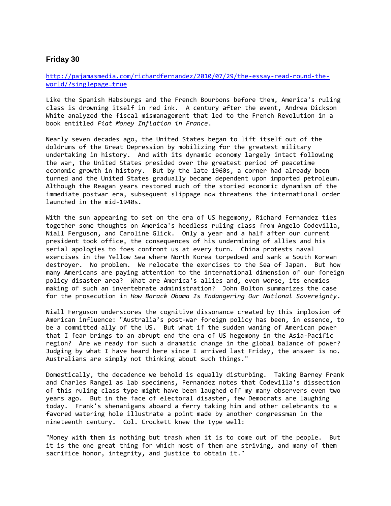#### **Friday 30**

[http://pajamasmedia.com/richardfernandez/2010/07/29/the-essay-read-round-the](http://pajamasmedia.com/richardfernandez/2010/07/29/the-essay-read-round-the-world/?singlepage=true)[world/?singlepage=true](http://pajamasmedia.com/richardfernandez/2010/07/29/the-essay-read-round-the-world/?singlepage=true)

Like the Spanish Habsburgs and the French Bourbons before them, America's ruling class is drowning itself in red ink. A century after the event, Andrew Dickson White analyzed the fiscal mismanagement that led to the French Revolution in a book entitled *Fiat Money Inflation in France*.

Nearly seven decades ago, the United States began to lift itself out of the doldrums of the Great Depression by mobilizing for the greatest military undertaking in history. And with its dynamic economy largely intact following the war, the United States presided over the greatest period of peacetime economic growth in history. But by the late 1960s, a corner had already been turned and the United States gradually became dependent upon imported petroleum. Although the Reagan years restored much of the storied economic dynamism of the immediate postwar era, subsequent slippage now threatens the international order launched in the mid-1940s.

With the sun appearing to set on the era of US hegemony, Richard Fernandez ties together some thoughts on America's heedless ruling class from Angelo Codevilla, Niall Ferguson, and Caroline Glick. Only a year and a half after our current president took office, the consequences of his undermining of allies and his serial apologies to foes confront us at every turn. China protests naval exercises in the Yellow Sea where North Korea torpedoed and sank a South Korean destroyer. No problem. We relocate the exercises to the Sea of Japan. But how many Americans are paying attention to the international dimension of our foreign policy disaster area? What are America's allies and, even worse, its enemies making of such an invertebrate administration? John Bolton summarizes the case for the prosecution in *How Barack Obama Is Endangering Our National Sovereignty*.

Niall Ferguson underscores the cognitive dissonance created by this implosion of American influence: "Australia's post-war foreign policy has been, in essence, to be a committed ally of the US. But what if the sudden waning of American power that I fear brings to an abrupt end the era of US hegemony in the Asia-Pacific region? Are we ready for such a dramatic change in the global balance of power? Judging by what I have heard here since I arrived last Friday, the answer is no. Australians are simply not thinking about such things."

Domestically, the decadence we behold is equally disturbing. Taking Barney Frank and Charles Rangel as lab specimens, Fernandez notes that Codevilla's dissection of this ruling class type might have been laughed off my many observers even two years ago. But in the face of electoral disaster, few Democrats are laughing today. Frank's shenanigans aboard a ferry taking him and other celebrants to a favored watering hole illustrate a point made by another congressman in the nineteenth century. Col. Crockett knew the type well:

"Money with them is nothing but trash when it is to come out of the people. But it is the one great thing for which most of them are striving, and many of them sacrifice honor, integrity, and justice to obtain it."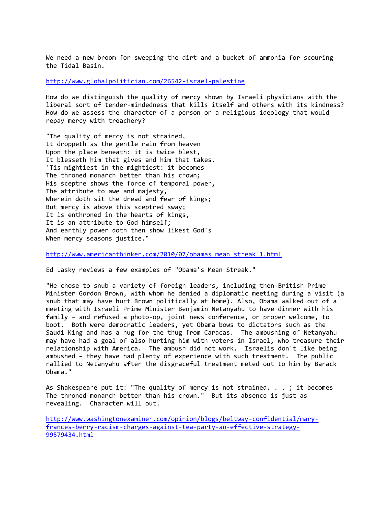We need a new broom for sweeping the dirt and a bucket of ammonia for scouring the Tidal Basin.

<http://www.globalpolitician.com/26542-israel-palestine>

How do we distinguish the quality of mercy shown by Israeli physicians with the liberal sort of tender-mindedness that kills itself and others with its kindness? How do we assess the character of a person or a religious ideology that would repay mercy with treachery?

"The quality of mercy is not strained, It droppeth as the gentle rain from heaven Upon the place beneath: it is twice blest, It blesseth him that gives and him that takes. 'Tis mightiest in the mightiest: it becomes The throned monarch better than his crown; His sceptre shows the force of temporal power, The attribute to awe and majesty, Wherein doth sit the dread and fear of kings; But mercy is above this sceptred sway; It is enthroned in the hearts of kings, It is an attribute to God himself; And earthly power doth then show likest God's When mercy seasons justice."

[http://www.americanthinker.com/2010/07/obamas\\_mean\\_streak\\_1.html](http://www.americanthinker.com/2010/07/obamas_mean_streak_1.html)

Ed Lasky reviews a few examples of "Obama's Mean Streak."

"He chose to snub a variety of foreign leaders, including then-British Prime Minister Gordon Brown, with whom he denied a diplomatic meeting during a visit (a snub that may have hurt Brown politically at home). Also, Obama walked out of a meeting with Israeli Prime Minister Benjamin Netanyahu to have dinner with his family – and refused a photo-op, joint news conference, or proper welcome, to boot. Both were democratic leaders, yet Obama bows to dictators such as the Saudi King and has a hug for the thug from Caracas. The ambushing of Netanyahu may have had a goal of also hurting him with voters in Israel, who treasure their relationship with America. The ambush did not work. Israelis don't like being ambushed – they have had plenty of experience with such treatment. The public rallied to Netanyahu after the disgraceful treatment meted out to him by Barack Obama."

As Shakespeare put it: "The quality of mercy is not strained. . . ; it becomes The throned monarch better than his crown." But its absence is just as revealing. Character will out.

[http://www.washingtonexaminer.com/opinion/blogs/beltway-confidential/mary](http://www.washingtonexaminer.com/opinion/blogs/beltway-confidential/mary-frances-berry-racism-charges-against-tea-party-an-effective-strategy-99579434.html)[frances-berry-racism-charges-against-tea-party-an-effective-strategy-](http://www.washingtonexaminer.com/opinion/blogs/beltway-confidential/mary-frances-berry-racism-charges-against-tea-party-an-effective-strategy-99579434.html)[99579434.html](http://www.washingtonexaminer.com/opinion/blogs/beltway-confidential/mary-frances-berry-racism-charges-against-tea-party-an-effective-strategy-99579434.html)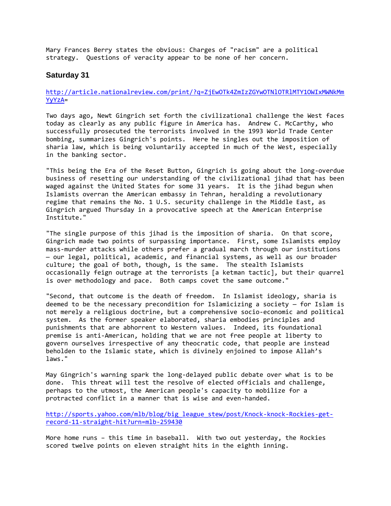Mary Frances Berry states the obvious: Charges of "racism" are a political strategy. Questions of veracity appear to be none of her concern.

#### **Saturday 31**

#### [http://article.nationalreview.com/print/?q=ZjEwOTk4ZmIzZGYwOTNlOTRlMTY1OWIxMWNkMm](http://article.nationalreview.com/print/?q=ZjEwOTk4ZmIzZGYwOTNlOTRlMTY1OWIxMWNkMmYyYzA) [YyYzA=](http://article.nationalreview.com/print/?q=ZjEwOTk4ZmIzZGYwOTNlOTRlMTY1OWIxMWNkMmYyYzA)

Two days ago, Newt Gingrich set forth the civilizational challenge the West faces today as clearly as any public figure in America has. Andrew C. McCarthy, who successfully prosecuted the terrorists involved in the 1993 World Trade Center bombing, summarizes Gingrich's points. Here he singles out the imposition of sharia law, which is being voluntarily accepted in much of the West, especially in the banking sector.

"This being the Era of the Reset Button, Gingrich is going about the long-overdue business of resetting our understanding of the civilizational jihad that has been waged against the United States for some 31 years. It is the jihad begun when Islamists overran the American embassy in Tehran, heralding a revolutionary regime that remains the No. 1 U.S. security challenge in the Middle East, as Gingrich argued Thursday in a provocative speech at the American Enterprise Institute."

"The single purpose of this jihad is the imposition of sharia. On that score, Gingrich made two points of surpassing importance. First, some Islamists employ mass-murder attacks while others prefer a gradual march through our institutions — our legal, political, academic, and financial systems, as well as our broader culture; the goal of both, though, is the same. The stealth Islamists occasionally feign outrage at the terrorists [a ketman tactic], but their quarrel is over methodology and pace. Both camps covet the same outcome."

"Second, that outcome is the death of freedom. In Islamist ideology, sharia is deemed to be the necessary precondition for Islamicizing a society — for Islam is not merely a religious doctrine, but a comprehensive socio-economic and political system. As the former speaker elaborated, sharia embodies principles and punishments that are abhorrent to Western values. Indeed, its foundational premise is anti-American, holding that we are not free people at liberty to govern ourselves irrespective of any theocratic code, that people are instead beholden to the Islamic state, which is divinely enjoined to impose Allah's laws."

May Gingrich's warning spark the long-delayed public debate over what is to be done. This threat will test the resolve of elected officials and challenge, perhaps to the utmost, the American people's capacity to mobilize for a protracted conflict in a manner that is wise and even-handed.

[http://sports.yahoo.com/mlb/blog/big\\_league\\_stew/post/Knock-knock-Rockies-get](http://sports.yahoo.com/mlb/blog/big_league_stew/post/Knock-knock-Rockies-get-record-11-straight-hit?urn=mlb-259430)[record-11-straight-hit?urn=mlb-259430](http://sports.yahoo.com/mlb/blog/big_league_stew/post/Knock-knock-Rockies-get-record-11-straight-hit?urn=mlb-259430)

More home runs – this time in baseball. With two out yesterday, the Rockies scored twelve points on eleven straight hits in the eighth inning.